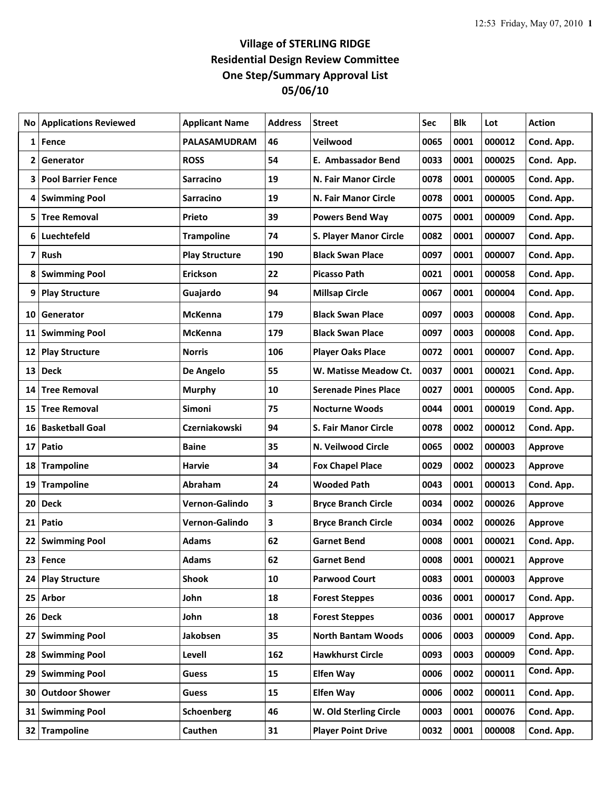## **Village of STERLING RIDGE Residential Design Review Committee One Step/Summary Approval List 05/06/10**

| No | <b>Applications Reviewed</b> | <b>Applicant Name</b> | <b>Address</b>          | <b>Street</b>                 | Sec  | <b>Blk</b> | Lot    | <b>Action</b>  |
|----|------------------------------|-----------------------|-------------------------|-------------------------------|------|------------|--------|----------------|
| 1  | Fence                        | <b>PALASAMUDRAM</b>   | 46                      | Veilwood                      | 0065 | 0001       | 000012 | Cond. App.     |
| 2  | Generator                    | <b>ROSS</b>           | 54                      | <b>E. Ambassador Bend</b>     | 0033 | 0001       | 000025 | Cond. App.     |
| 3  | <b>Pool Barrier Fence</b>    | <b>Sarracino</b>      | 19                      | N. Fair Manor Circle          | 0078 | 0001       | 000005 | Cond. App.     |
| 4  | <b>Swimming Pool</b>         | <b>Sarracino</b>      | 19                      | <b>N. Fair Manor Circle</b>   | 0078 | 0001       | 000005 | Cond. App.     |
| 5  | <b>Tree Removal</b>          | Prieto                | 39                      | <b>Powers Bend Way</b>        | 0075 | 0001       | 000009 | Cond. App.     |
| 6  | Luechtefeld                  | <b>Trampoline</b>     | 74                      | <b>S. Player Manor Circle</b> | 0082 | 0001       | 000007 | Cond. App.     |
| 7  | Rush                         | <b>Play Structure</b> | 190                     | <b>Black Swan Place</b>       | 0097 | 0001       | 000007 | Cond. App.     |
| 8  | <b>Swimming Pool</b>         | Erickson              | 22                      | <b>Picasso Path</b>           | 0021 | 0001       | 000058 | Cond. App.     |
| 9  | <b>Play Structure</b>        | Guajardo              | 94                      | <b>Millsap Circle</b>         | 0067 | 0001       | 000004 | Cond. App.     |
| 10 | Generator                    | <b>McKenna</b>        | 179                     | <b>Black Swan Place</b>       | 0097 | 0003       | 000008 | Cond. App.     |
| 11 | <b>Swimming Pool</b>         | <b>McKenna</b>        | 179                     | <b>Black Swan Place</b>       | 0097 | 0003       | 000008 | Cond. App.     |
| 12 | <b>Play Structure</b>        | <b>Norris</b>         | 106                     | <b>Player Oaks Place</b>      | 0072 | 0001       | 000007 | Cond. App.     |
| 13 | <b>Deck</b>                  | De Angelo             | 55                      | W. Matisse Meadow Ct.         | 0037 | 0001       | 000021 | Cond. App.     |
| 14 | <b>Tree Removal</b>          | <b>Murphy</b>         | 10                      | <b>Serenade Pines Place</b>   | 0027 | 0001       | 000005 | Cond. App.     |
| 15 | <b>Tree Removal</b>          | Simoni                | 75                      | <b>Nocturne Woods</b>         | 0044 | 0001       | 000019 | Cond. App.     |
| 16 | <b>Basketball Goal</b>       | <b>Czerniakowski</b>  | 94                      | <b>S. Fair Manor Circle</b>   | 0078 | 0002       | 000012 | Cond. App.     |
| 17 | Patio                        | <b>Baine</b>          | 35                      | N. Veilwood Circle            | 0065 | 0002       | 000003 | <b>Approve</b> |
| 18 | Trampoline                   | Harvie                | 34                      | <b>Fox Chapel Place</b>       | 0029 | 0002       | 000023 | <b>Approve</b> |
| 19 | <b>Trampoline</b>            | Abraham               | 24                      | <b>Wooded Path</b>            | 0043 | 0001       | 000013 | Cond. App.     |
| 20 | <b>Deck</b>                  | Vernon-Galindo        | $\mathbf{3}$            | <b>Bryce Branch Circle</b>    | 0034 | 0002       | 000026 | <b>Approve</b> |
| 21 | Patio                        | Vernon-Galindo        | $\overline{\mathbf{3}}$ | <b>Bryce Branch Circle</b>    | 0034 | 0002       | 000026 | <b>Approve</b> |
|    | 22 Swimming Pool             | <b>Adams</b>          | 62                      | <b>Garnet Bend</b>            | 0008 | 0001       | 000021 | Cond. App.     |
| 23 | Fence                        | <b>Adams</b>          | 62                      | <b>Garnet Bend</b>            | 0008 | 0001       | 000021 | <b>Approve</b> |
| 24 | <b>Play Structure</b>        | <b>Shook</b>          | 10                      | <b>Parwood Court</b>          | 0083 | 0001       | 000003 | <b>Approve</b> |
|    | 25 Arbor                     | John                  | 18                      | <b>Forest Steppes</b>         | 0036 | 0001       | 000017 | Cond. App.     |
|    | 26 Deck                      | John                  | 18                      | <b>Forest Steppes</b>         | 0036 | 0001       | 000017 | Approve        |
| 27 | <b>Swimming Pool</b>         | Jakobsen              | 35                      | <b>North Bantam Woods</b>     | 0006 | 0003       | 000009 | Cond. App.     |
| 28 | <b>Swimming Pool</b>         | Levell                | 162                     | <b>Hawkhurst Circle</b>       | 0093 | 0003       | 000009 | Cond. App.     |
| 29 | <b>Swimming Pool</b>         | <b>Guess</b>          | 15                      | <b>Elfen Way</b>              | 0006 | 0002       | 000011 | Cond. App.     |
| 30 | <b>Outdoor Shower</b>        | <b>Guess</b>          | 15                      | <b>Elfen Way</b>              | 0006 | 0002       | 000011 | Cond. App.     |
|    | 31 Swimming Pool             | Schoenberg            | 46                      | W. Old Sterling Circle        | 0003 | 0001       | 000076 | Cond. App.     |
| 32 | Trampoline                   | Cauthen               | 31                      | <b>Player Point Drive</b>     | 0032 | 0001       | 000008 | Cond. App.     |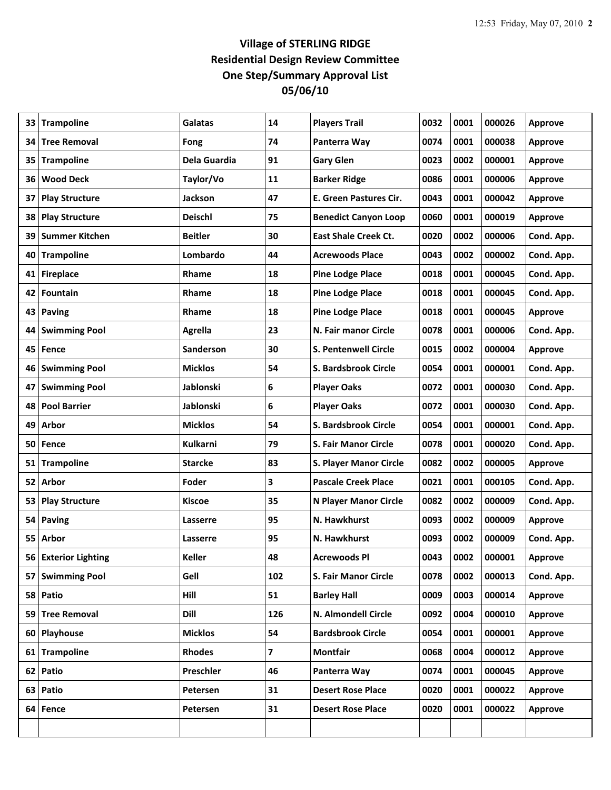## **Village of STERLING RIDGE Residential Design Review Committee One Step/Summary Approval List 05/06/10**

| 33              | <b>Trampoline</b>     | Galatas        | 14  | <b>Players Trail</b>        | 0032 | 0001 | 000026 | <b>Approve</b> |
|-----------------|-----------------------|----------------|-----|-----------------------------|------|------|--------|----------------|
| 34              | <b>Tree Removal</b>   | Fong           | 74  | Panterra Way                | 0074 | 0001 | 000038 | <b>Approve</b> |
| 35              | <b>Trampoline</b>     | Dela Guardia   | 91  | <b>Gary Glen</b>            | 0023 | 0002 | 000001 | <b>Approve</b> |
| 36              | <b>Wood Deck</b>      | Taylor/Vo      | 11  | <b>Barker Ridge</b>         | 0086 | 0001 | 000006 | <b>Approve</b> |
| 37              | <b>Play Structure</b> | <b>Jackson</b> | 47  | E. Green Pastures Cir.      | 0043 | 0001 | 000042 | <b>Approve</b> |
| 38              | <b>Play Structure</b> | <b>Deischl</b> | 75  | <b>Benedict Canyon Loop</b> | 0060 | 0001 | 000019 | <b>Approve</b> |
| 39              | <b>Summer Kitchen</b> | <b>Beitler</b> | 30  | <b>East Shale Creek Ct.</b> | 0020 | 0002 | 000006 | Cond. App.     |
| 40              | <b>Trampoline</b>     | Lombardo       | 44  | <b>Acrewoods Place</b>      | 0043 | 0002 | 000002 | Cond. App.     |
| 41              | <b>Fireplace</b>      | Rhame          | 18  | <b>Pine Lodge Place</b>     | 0018 | 0001 | 000045 | Cond. App.     |
| 42              | <b>Fountain</b>       | Rhame          | 18  | <b>Pine Lodge Place</b>     | 0018 | 0001 | 000045 | Cond. App.     |
|                 | 43 Paving             | <b>Rhame</b>   | 18  | <b>Pine Lodge Place</b>     | 0018 | 0001 | 000045 | <b>Approve</b> |
| 44              | <b>Swimming Pool</b>  | <b>Agrella</b> | 23  | N. Fair manor Circle        | 0078 | 0001 | 000006 | Cond. App.     |
| 45              | Fence                 | Sanderson      | 30  | <b>S. Pentenwell Circle</b> | 0015 | 0002 | 000004 | Approve        |
| 46              | <b>Swimming Pool</b>  | <b>Micklos</b> | 54  | S. Bardsbrook Circle        | 0054 | 0001 | 000001 | Cond. App.     |
| 47              | <b>Swimming Pool</b>  | Jablonski      | 6   | <b>Player Oaks</b>          | 0072 | 0001 | 000030 | Cond. App.     |
| 48              | <b>Pool Barrier</b>   | Jablonski      | 6   | <b>Player Oaks</b>          | 0072 | 0001 | 000030 | Cond. App.     |
| 49              | Arbor                 | <b>Micklos</b> | 54  | S. Bardsbrook Circle        | 0054 | 0001 | 000001 | Cond. App.     |
| 50              | Fence                 | Kulkarni       | 79  | <b>S. Fair Manor Circle</b> | 0078 | 0001 | 000020 | Cond. App.     |
| 51              | <b>Trampoline</b>     | <b>Starcke</b> | 83  | S. Player Manor Circle      | 0082 | 0002 | 000005 | Approve        |
| 52              | Arbor                 | Foder          | 3   | <b>Pascale Creek Place</b>  | 0021 | 0001 | 000105 | Cond. App.     |
| 53              | <b>Play Structure</b> | <b>Kiscoe</b>  | 35  | N Player Manor Circle       | 0082 | 0002 | 000009 | Cond. App.     |
| 54 <sup>1</sup> | <b>Paving</b>         | Lasserre       | 95  | N. Hawkhurst                | 0093 | 0002 | 000009 | <b>Approve</b> |
| 55              | Arbor                 | Lasserre       | 95  | N. Hawkhurst                | 0093 | 0002 | 000009 | Cond. App.     |
|                 | 56 Exterior Lighting  | <b>Keller</b>  | 48  | Acrewoods Pl                | 0043 | 0002 | 000001 | <b>Approve</b> |
|                 | 57 Swimming Pool      | Gell           | 102 | <b>S. Fair Manor Circle</b> | 0078 | 0002 | 000013 | Cond. App.     |
|                 | 58 Patio              | Hill           | 51  | <b>Barley Hall</b>          | 0009 | 0003 | 000014 | Approve        |
|                 | 59 Tree Removal       | Dill           | 126 | N. Almondell Circle         | 0092 | 0004 | 000010 | Approve        |
|                 | 60 Playhouse          | <b>Micklos</b> | 54  | <b>Bardsbrook Circle</b>    | 0054 | 0001 | 000001 | <b>Approve</b> |
|                 | 61 Trampoline         | <b>Rhodes</b>  | 7   | <b>Montfair</b>             | 0068 | 0004 | 000012 | Approve        |
|                 | 62 Patio              | Preschler      | 46  | Panterra Way                | 0074 | 0001 | 000045 | Approve        |
|                 | 63 Patio              | Petersen       | 31  | <b>Desert Rose Place</b>    | 0020 | 0001 | 000022 | <b>Approve</b> |
| 64 I            | Fence                 | Petersen       | 31  | <b>Desert Rose Place</b>    | 0020 | 0001 | 000022 | Approve        |
|                 |                       |                |     |                             |      |      |        |                |